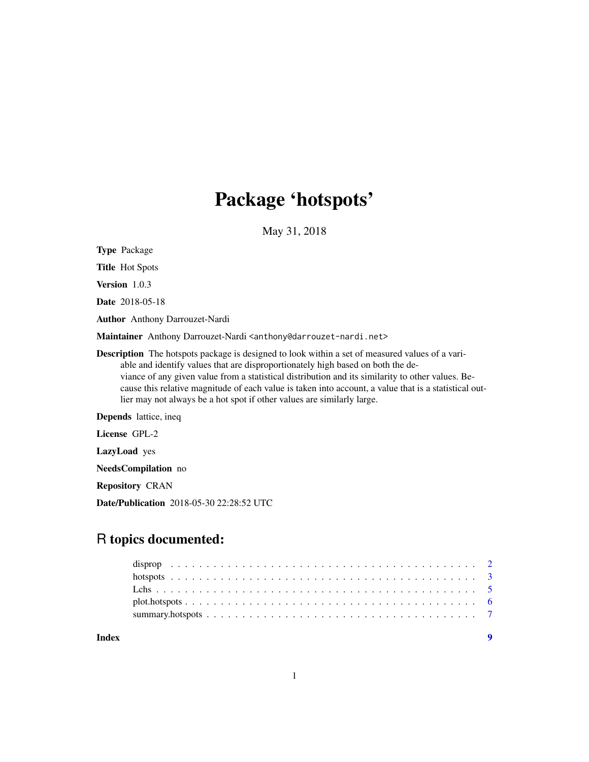## Package 'hotspots'

May 31, 2018

<span id="page-0-0"></span>Type Package

Title Hot Spots

Version 1.0.3

Date 2018-05-18

Author Anthony Darrouzet-Nardi

Maintainer Anthony Darrouzet-Nardi <anthony@darrouzet-nardi.net>

Description The hotspots package is designed to look within a set of measured values of a variable and identify values that are disproportionately high based on both the deviance of any given value from a statistical distribution and its similarity to other values. Because this relative magnitude of each value is taken into account, a value that is a statistical outlier may not always be a hot spot if other values are similarly large.

Depends lattice, ineq

License GPL-2

LazyLoad yes

NeedsCompilation no

Repository CRAN

Date/Publication 2018-05-30 22:28:52 UTC

### R topics documented:

**Index** [9](#page-8-0)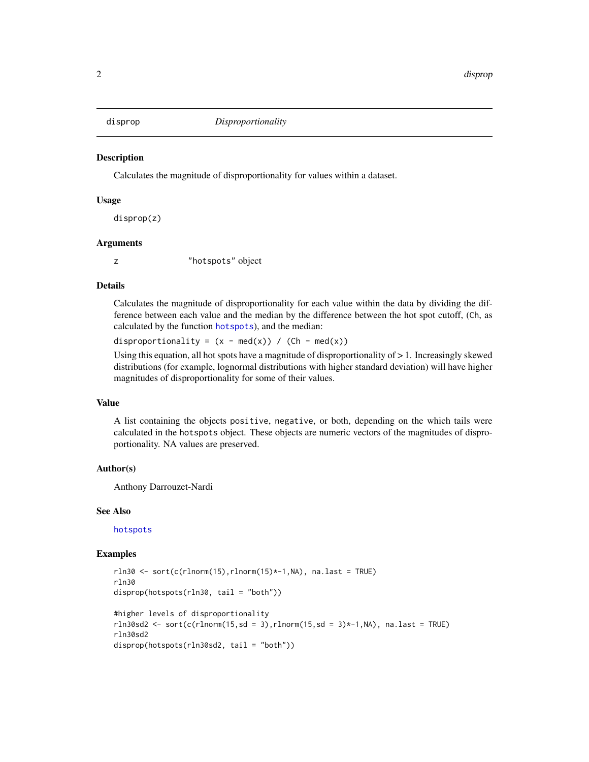<span id="page-1-1"></span><span id="page-1-0"></span>

#### **Description**

Calculates the magnitude of disproportionality for values within a dataset.

#### Usage

disprop(z)

#### Arguments

z "hotspots" object

#### Details

Calculates the magnitude of disproportionality for each value within the data by dividing the difference between each value and the median by the difference between the hot spot cutoff, (Ch, as calculated by the function [hotspots](#page-2-1)), and the median:

disproportionality =  $(x - med(x)) / (Ch - med(x))$ 

Using this equation, all hot spots have a magnitude of disproportionality of  $> 1$ . Increasingly skewed distributions (for example, lognormal distributions with higher standard deviation) will have higher magnitudes of disproportionality for some of their values.

#### Value

A list containing the objects positive, negative, or both, depending on the which tails were calculated in the hotspots object. These objects are numeric vectors of the magnitudes of disproportionality. NA values are preserved.

#### Author(s)

Anthony Darrouzet-Nardi

#### See Also

[hotspots](#page-2-1)

#### Examples

```
rln30 \leq sort(c(rlnorm(15),rlnorm(15)*-1,NA), na.last = TRUE)
rln30
disprop(hotspots(rln30, tail = "both"))
#higher levels of disproportionality
rln30sd2 <- sort(c(rlnorm(15,sd = 3),rlnorm(15,sd = 3)*-1,NA), na.last = TRUE)
rln30sd2
disprop(hotspots(rln30sd2, tail = "both"))
```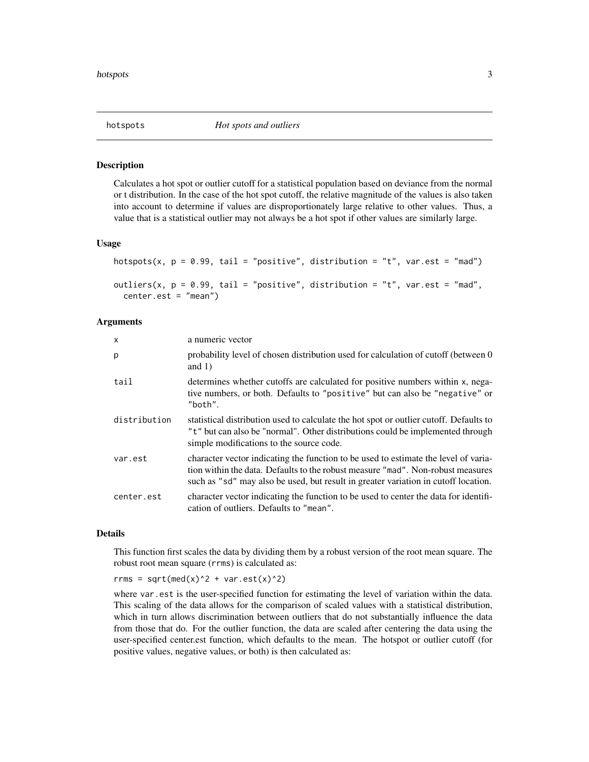<span id="page-2-1"></span><span id="page-2-0"></span>

#### Description

Calculates a hot spot or outlier cutoff for a statistical population based on deviance from the normal or t distribution. In the case of the hot spot cutoff, the relative magnitude of the values is also taken into account to determine if values are disproportionately large relative to other values. Thus, a value that is a statistical outlier may not always be a hot spot if other values are similarly large.

#### Usage

```
hotspots(x, p = 0.99, tail = "positive", distribution = "t", var.est = "mad")
outliers(x, p = 0.99, tail = "positive", distribution = "t", var.est = "mad",
 center.est = "mean")
```
#### Arguments

| $\mathsf{x}$ | a numeric vector                                                                                                                                                                                                                                             |
|--------------|--------------------------------------------------------------------------------------------------------------------------------------------------------------------------------------------------------------------------------------------------------------|
| p            | probability level of chosen distribution used for calculation of cutoff (between 0)<br>and $1)$                                                                                                                                                              |
| tail         | determines whether cutoffs are calculated for positive numbers within x, nega-<br>tive numbers, or both. Defaults to "positive" but can also be "negative" or<br>"both".                                                                                     |
| distribution | statistical distribution used to calculate the hot spot or outlier cutoff. Defaults to<br>"t" but can also be "normal". Other distributions could be implemented through<br>simple modifications to the source code.                                         |
| var.est      | character vector indicating the function to be used to estimate the level of varia-<br>tion within the data. Defaults to the robust measure "mad". Non-robust measures<br>such as "sd" may also be used, but result in greater variation in cutoff location. |
| center.est   | character vector indicating the function to be used to center the data for identifi-<br>cation of outliers. Defaults to "mean".                                                                                                                              |

#### Details

This function first scales the data by dividing them by a robust version of the root mean square. The robust root mean square (rrms) is calculated as:

rrms = sqrt(med(x)^2 + var.est(x)^2)

where var, est is the user-specified function for estimating the level of variation within the data. This scaling of the data allows for the comparison of scaled values with a statistical distribution, which in turn allows discrimination between outliers that do not substantially influence the data from those that do. For the outlier function, the data are scaled after centering the data using the user-specified center.est function, which defaults to the mean. The hotspot or outlier cutoff (for positive values, negative values, or both) is then calculated as: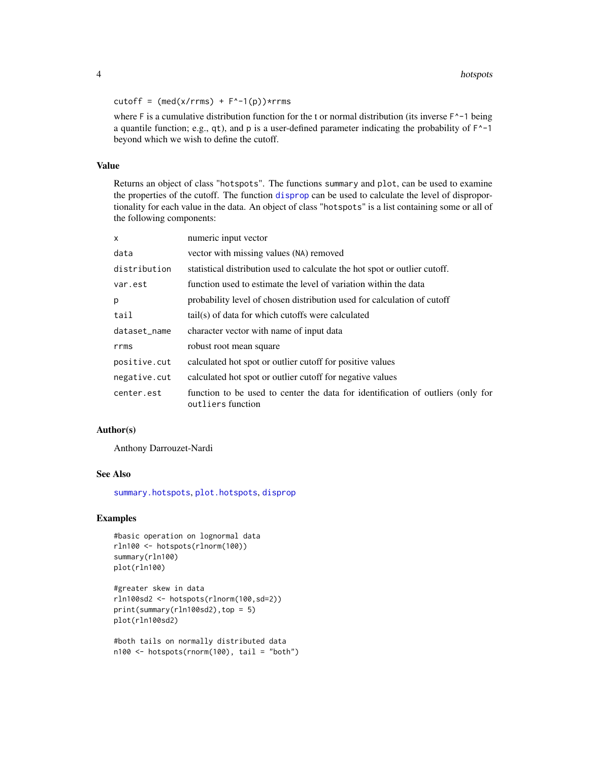<span id="page-3-0"></span>cutoff =  $(med(x/rrms) + F^{\wedge} - 1(p))$ \*rrms

where F is a cumulative distribution function for the t or normal distribution (its inverse  $F^{\prime}$ -1 being a quantile function; e.g., qt), and p is a user-defined parameter indicating the probability of  $F^2-1$ beyond which we wish to define the cutoff.

#### Value

Returns an object of class "hotspots". The functions summary and plot, can be used to examine the properties of the cutoff. The function [disprop](#page-1-1) can be used to calculate the level of disproportionality for each value in the data. An object of class "hotspots" is a list containing some or all of the following components:

| X            | numeric input vector                                                                                 |
|--------------|------------------------------------------------------------------------------------------------------|
| data         | vector with missing values (NA) removed                                                              |
| distribution | statistical distribution used to calculate the hot spot or outlier cutoff.                           |
| var.est      | function used to estimate the level of variation within the data                                     |
| p            | probability level of chosen distribution used for calculation of cutoff                              |
| tail         | tail(s) of data for which cutoffs were calculated                                                    |
| dataset_name | character vector with name of input data                                                             |
| rrms         | robust root mean square                                                                              |
| positive.cut | calculated hot spot or outlier cutoff for positive values                                            |
| negative.cut | calculated hot spot or outlier cutoff for negative values                                            |
| center.est   | function to be used to center the data for identification of outliers (only for<br>outliers function |

#### Author(s)

Anthony Darrouzet-Nardi

#### See Also

[summary.hotspots](#page-6-1), [plot.hotspots](#page-5-1), [disprop](#page-1-1)

#### Examples

```
#basic operation on lognormal data
rln100 <- hotspots(rlnorm(100))
summary(rln100)
plot(rln100)
```

```
#greater skew in data
rln100sd2 <- hotspots(rlnorm(100,sd=2))
print(summary(rln100sd2),top = 5)
plot(rln100sd2)
```

```
#both tails on normally distributed data
n100 <- hotspots(rnorm(100), tail = "both")
```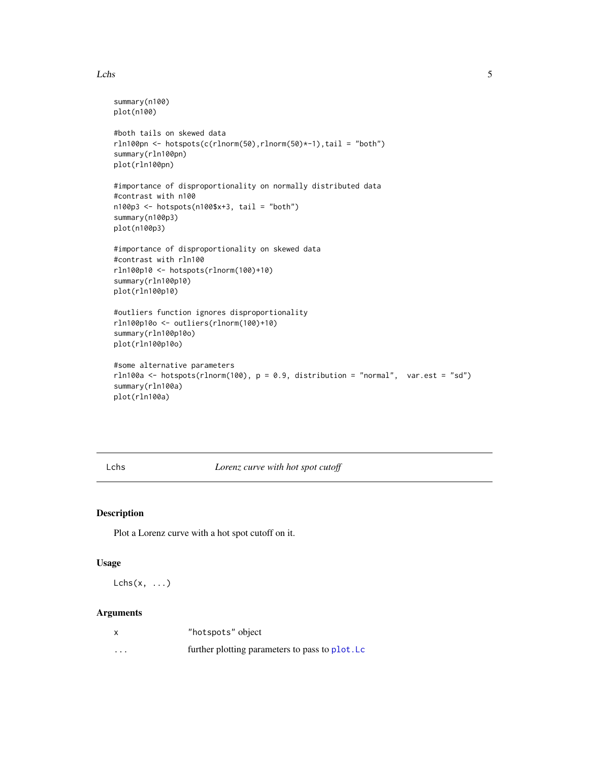#### <span id="page-4-0"></span>Lchs 5

```
summary(n100)
plot(n100)
#both tails on skewed data
rln100pn <- hotspots(c(rlnorm(50),rlnorm(50)*-1),tail = "both")
summary(rln100pn)
plot(rln100pn)
#importance of disproportionality on normally distributed data
#contrast with n100
n100p3 <- hotspots(n100$x+3, tail = "both")
summary(n100p3)
plot(n100p3)
#importance of disproportionality on skewed data
#contrast with rln100
rln100p10 <- hotspots(rlnorm(100)+10)
summary(rln100p10)
plot(rln100p10)
#outliers function ignores disproportionality
rln100p10o <- outliers(rlnorm(100)+10)
summary(rln100p10o)
plot(rln100p10o)
#some alternative parameters
rln100a \leq hotspots(rlnorm(100), p = 0.9, distribution = "normal", var.est = "sd")summary(rln100a)
plot(rln100a)
```
Lchs *Lorenz curve with hot spot cutoff*

#### Description

Plot a Lorenz curve with a hot spot cutoff on it.

#### Usage

 $Lchs(x, \ldots)$ 

#### Arguments

| X        | "hotspots" object                               |
|----------|-------------------------------------------------|
| $\cdots$ | further plotting parameters to pass to plot. Lc |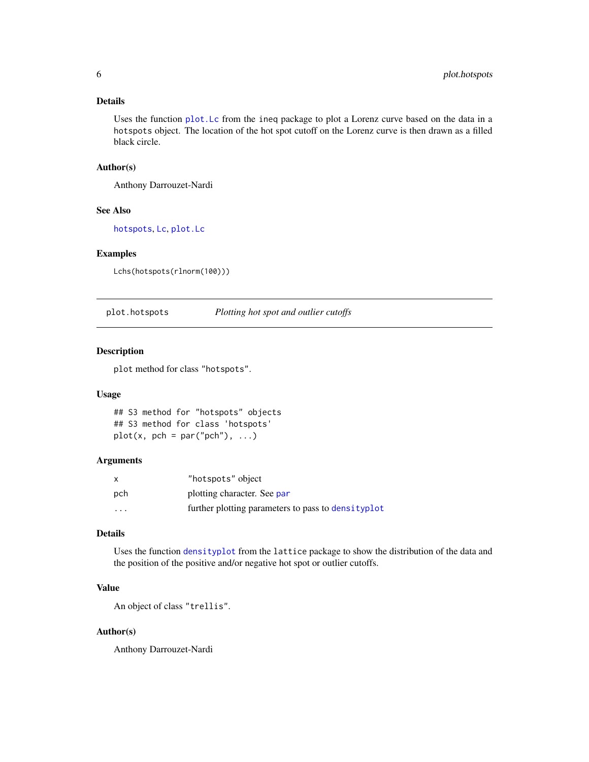#### <span id="page-5-0"></span>Details

Uses the function [plot.Lc](#page-0-0) from the ineq package to plot a Lorenz curve based on the data in a hotspots object. The location of the hot spot cutoff on the Lorenz curve is then drawn as a filled black circle.

#### Author(s)

Anthony Darrouzet-Nardi

#### See Also

[hotspots](#page-2-1), [Lc](#page-0-0), [plot.Lc](#page-0-0)

#### Examples

Lchs(hotspots(rlnorm(100)))

<span id="page-5-1"></span>plot.hotspots *Plotting hot spot and outlier cutoffs*

#### Description

plot method for class "hotspots".

#### Usage

```
## S3 method for "hotspots" objects
## S3 method for class 'hotspots'
plot(x, pch = par("pch"), ...)
```
#### Arguments

| X        | "hotspots" object                                   |
|----------|-----------------------------------------------------|
| pch      | plotting character. See par                         |
| $\cdots$ | further plotting parameters to pass to density plot |

#### Details

Uses the function [densityplot](#page-0-0) from the lattice package to show the distribution of the data and the position of the positive and/or negative hot spot or outlier cutoffs.

#### Value

An object of class "trellis".

#### Author(s)

Anthony Darrouzet-Nardi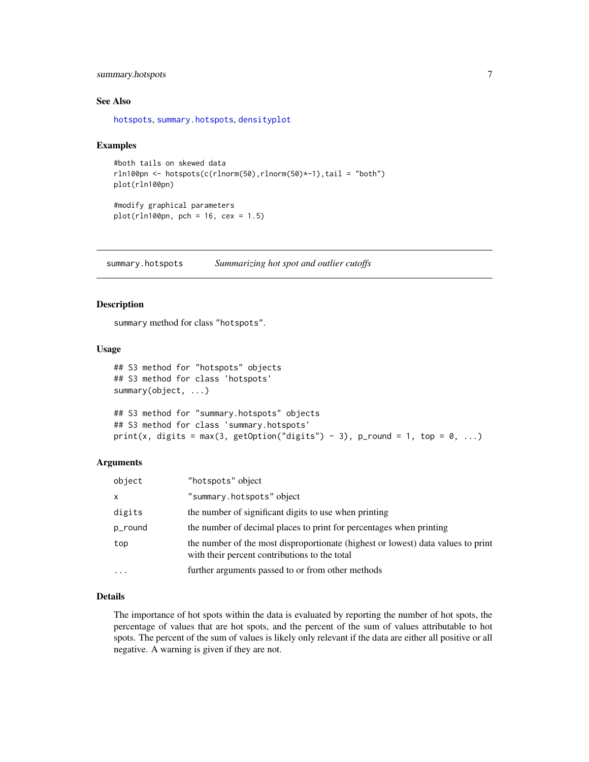#### <span id="page-6-0"></span>summary.hotspots 7

#### See Also

[hotspots](#page-2-1), [summary.hotspots](#page-6-1), [densityplot](#page-0-0)

#### Examples

```
#both tails on skewed data
rln100pn <- hotspots(c(rlnorm(50),rlnorm(50)*-1),tail = "both")
plot(rln100pn)
```
#modify graphical parameters  $plot(rln100pn, pch = 16, cex = 1.5)$ 

<span id="page-6-1"></span>summary.hotspots *Summarizing hot spot and outlier cutoffs*

#### Description

summary method for class "hotspots".

#### Usage

```
## S3 method for "hotspots" objects
## S3 method for class 'hotspots'
summary(object, ...)
## S3 method for "summary.hotspots" objects
```

```
## S3 method for class 'summary.hotspots'
print(x, digits = max(3, getOption("digits") - 3), p_round = 1, top = 0, ...)
```
#### Arguments

| "summary.hotspots" object<br>x<br>the number of significant digits to use when printing<br>digits<br>the number of decimal places to print for percentages when printing<br>p_round<br>top<br>with their percent contributions to the total<br>further arguments passed to or from other methods<br>$\ddotsc$ | object | "hotspots" object                                                                |
|---------------------------------------------------------------------------------------------------------------------------------------------------------------------------------------------------------------------------------------------------------------------------------------------------------------|--------|----------------------------------------------------------------------------------|
|                                                                                                                                                                                                                                                                                                               |        |                                                                                  |
|                                                                                                                                                                                                                                                                                                               |        |                                                                                  |
|                                                                                                                                                                                                                                                                                                               |        |                                                                                  |
|                                                                                                                                                                                                                                                                                                               |        | the number of the most disproportionate (highest or lowest) data values to print |
|                                                                                                                                                                                                                                                                                                               |        |                                                                                  |

#### Details

The importance of hot spots within the data is evaluated by reporting the number of hot spots, the percentage of values that are hot spots, and the percent of the sum of values attributable to hot spots. The percent of the sum of values is likely only relevant if the data are either all positive or all negative. A warning is given if they are not.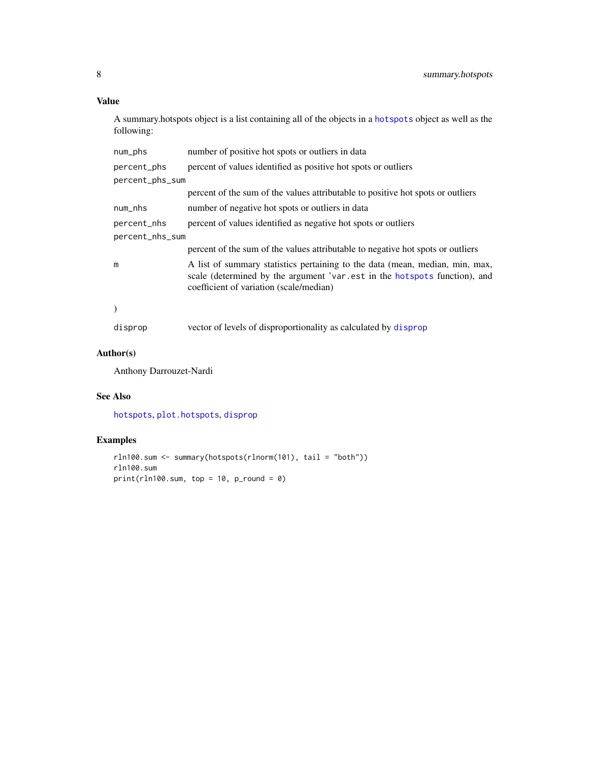#### <span id="page-7-0"></span>Value

A summary.hotspots object is a list containing all of the objects in a [hotspots](#page-2-1) object as well as the following:

| num_phs         | number of positive hot spots or outliers in data                                                                                                                                                     |
|-----------------|------------------------------------------------------------------------------------------------------------------------------------------------------------------------------------------------------|
| percent_phs     | percent of values identified as positive hot spots or outliers                                                                                                                                       |
| percent_phs_sum |                                                                                                                                                                                                      |
|                 | percent of the sum of the values attributable to positive hot spots or outliers                                                                                                                      |
| num_nhs         | number of negative hot spots or outliers in data                                                                                                                                                     |
| percent_nhs     | percent of values identified as negative hot spots or outliers                                                                                                                                       |
| percent_nhs_sum |                                                                                                                                                                                                      |
|                 | percent of the sum of the values attributable to negative hot spots or outliers                                                                                                                      |
| m               | A list of summary statistics pertaining to the data (mean, median, min, max,<br>scale (determined by the argument 'var.est in the hotspots function), and<br>coefficient of variation (scale/median) |
| $\lambda$       |                                                                                                                                                                                                      |
| disprop         | vector of levels of disproportionality as calculated by disprop                                                                                                                                      |

#### Author(s)

Anthony Darrouzet-Nardi

#### See Also

[hotspots](#page-2-1), [plot.hotspots](#page-5-1), [disprop](#page-1-1)

#### Examples

```
rln100.sum <- summary(hotspots(rlnorm(101), tail = "both"))
rln100.sum
print(rln100.sum, top = 10, p_{round} = 0)
```